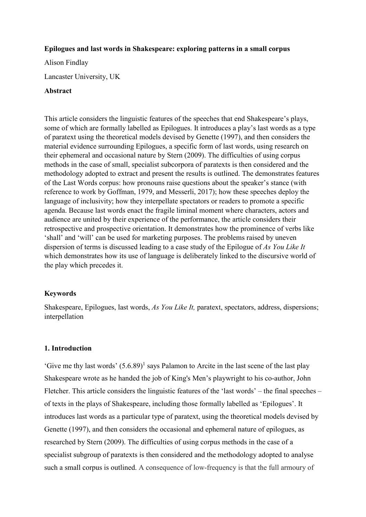### **Epilogues and last words in Shakespeare: exploring patterns in a small corpus**

Alison Findlay

Lancaster University, UK

### **Abstract**

This article considers the linguistic features of the speeches that end Shakespeare's plays, some of which are formally labelled as Epilogues. It introduces a play's last words as a type of paratext using the theoretical models devised by Genette (1997), and then considers the material evidence surrounding Epilogues, a specific form of last words, using research on their ephemeral and occasional nature by Stern (2009). The difficulties of using corpus methods in the case of small, specialist subcorpora of paratexts is then considered and the methodology adopted to extract and present the results is outlined. The demonstrates features of the Last Words corpus: how pronouns raise questions about the speaker's stance (with reference to work by Goffman, 1979, and Messerli, 2017); how these speeches deploy the language of inclusivity; how they interpellate spectators or readers to promote a specific agenda. Because last words enact the fragile liminal moment where characters, actors and audience are united by their experience of the performance, the article considers their retrospective and prospective orientation. It demonstrates how the prominence of verbs like 'shall' and 'will' can be used for marketing purposes. The problems raised by uneven dispersion of terms is discussed leading to a case study of the Epilogue of *As You Like It*  which demonstrates how its use of language is deliberately linked to the discursive world of the play which precedes it.

### **Keywords**

Shakespeare, Epilogues, last words, *As You Like It,* paratext, spectators, address, dispersions; interpellation

### **1. Introduction**

'Give me thy last words'  $(5.6.89)^1$  says Palamon to Arcite in the last scene of the last play Shakespeare wrote as he handed the job of King's Men's playwright to his co-author, John Fletcher. This article considers the linguistic features of the 'last words' – the final speeches – of texts in the plays of Shakespeare, including those formally labelled as 'Epilogues'. It introduces last words as a particular type of paratext, using the theoretical models devised by Genette (1997), and then considers the occasional and ephemeral nature of epilogues, as researched by Stern (2009). The difficulties of using corpus methods in the case of a specialist subgroup of paratexts is then considered and the methodology adopted to analyse such a small corpus is outlined. A consequence of low-frequency is that the full armoury of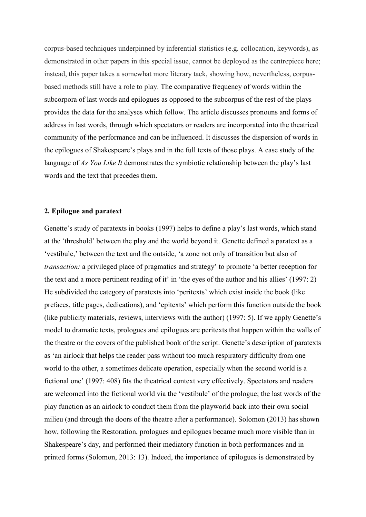corpus-based techniques underpinned by inferential statistics (e.g. collocation, keywords), as demonstrated in other papers in this special issue, cannot be deployed as the centrepiece here; instead, this paper takes a somewhat more literary tack, showing how, nevertheless, corpusbased methods still have a role to play. The comparative frequency of words within the subcorpora of last words and epilogues as opposed to the subcorpus of the rest of the plays provides the data for the analyses which follow. The article discusses pronouns and forms of address in last words, through which spectators or readers are incorporated into the theatrical community of the performance and can be influenced. It discusses the dispersion of words in the epilogues of Shakespeare's plays and in the full texts of those plays. A case study of the language of *As You Like It* demonstrates the symbiotic relationship between the play's last words and the text that precedes them.

#### **2. Epilogue and paratext**

Genette's study of paratexts in books (1997) helps to define a play's last words, which stand at the 'threshold' between the play and the world beyond it. Genette defined a paratext as a 'vestibule,' between the text and the outside, 'a zone not only of transition but also of *transaction:* a privileged place of pragmatics and strategy' to promote 'a better reception for the text and a more pertinent reading of it' in 'the eyes of the author and his allies' (1997: 2) He subdivided the category of paratexts into 'peritexts' which exist inside the book (like prefaces, title pages, dedications), and 'epitexts' which perform this function outside the book (like publicity materials, reviews, interviews with the author) (1997: 5). If we apply Genette's model to dramatic texts, prologues and epilogues are peritexts that happen within the walls of the theatre or the covers of the published book of the script. Genette's description of paratexts as 'an airlock that helps the reader pass without too much respiratory difficulty from one world to the other, a sometimes delicate operation, especially when the second world is a fictional one' (1997: 408) fits the theatrical context very effectively. Spectators and readers are welcomed into the fictional world via the 'vestibule' of the prologue; the last words of the play function as an airlock to conduct them from the playworld back into their own social milieu (and through the doors of the theatre after a performance). Solomon (2013) has shown how, following the Restoration, prologues and epilogues became much more visible than in Shakespeare's day, and performed their mediatory function in both performances and in printed forms (Solomon, 2013: 13). Indeed, the importance of epilogues is demonstrated by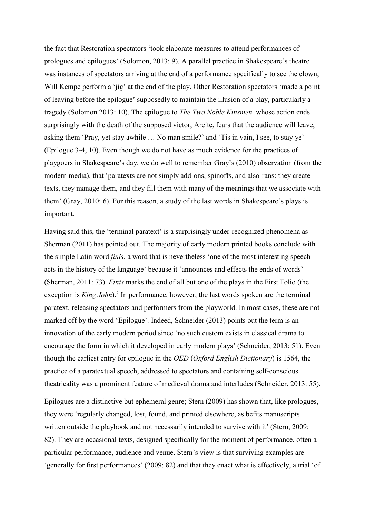the fact that Restoration spectators 'took elaborate measures to attend performances of prologues and epilogues' (Solomon, 2013: 9). A parallel practice in Shakespeare's theatre was instances of spectators arriving at the end of a performance specifically to see the clown, Will Kempe perform a 'jig' at the end of the play. Other Restoration spectators 'made a point of leaving before the epilogue' supposedly to maintain the illusion of a play, particularly a tragedy (Solomon 2013: 10). The epilogue to *The Two Noble Kinsmen,* whose action ends surprisingly with the death of the supposed victor, Arcite, fears that the audience will leave, asking them 'Pray, yet stay awhile … No man smile?' and 'Tis in vain, I see, to stay ye' (Epilogue 3-4, 10). Even though we do not have as much evidence for the practices of playgoers in Shakespeare's day, we do well to remember Gray's (2010) observation (from the modern media), that 'paratexts are not simply add-ons, spinoffs, and also-rans: they create texts, they manage them, and they fill them with many of the meanings that we associate with them' (Gray, 2010: 6). For this reason, a study of the last words in Shakespeare's plays is important.

Having said this, the 'terminal paratext' is a surprisingly under-recognized phenomena as Sherman (2011) has pointed out. The majority of early modern printed books conclude with the simple Latin word *finis*, a word that is nevertheless 'one of the most interesting speech acts in the history of the language' because it 'announces and effects the ends of words' (Sherman, 2011: 73). *Finis* marks the end of all but one of the plays in the First Folio (the exception is *King John*).<sup>2</sup> In performance, however, the last words spoken are the terminal paratext, releasing spectators and performers from the playworld. In most cases, these are not marked off by the word 'Epilogue'. Indeed, Schneider (2013) points out the term is an innovation of the early modern period since 'no such custom exists in classical drama to encourage the form in which it developed in early modern plays' (Schneider, 2013: 51). Even though the earliest entry for epilogue in the *OED* (*Oxford English Dictionary*) is 1564, the practice of a paratextual speech, addressed to spectators and containing self-conscious theatricality was a prominent feature of medieval drama and interludes (Schneider, 2013: 55).

Epilogues are a distinctive but ephemeral genre; Stern (2009) has shown that, like prologues, they were 'regularly changed, lost, found, and printed elsewhere, as befits manuscripts written outside the playbook and not necessarily intended to survive with it' (Stern, 2009: 82). They are occasional texts, designed specifically for the moment of performance, often a particular performance, audience and venue. Stern's view is that surviving examples are 'generally for first performances' (2009: 82) and that they enact what is effectively, a trial 'of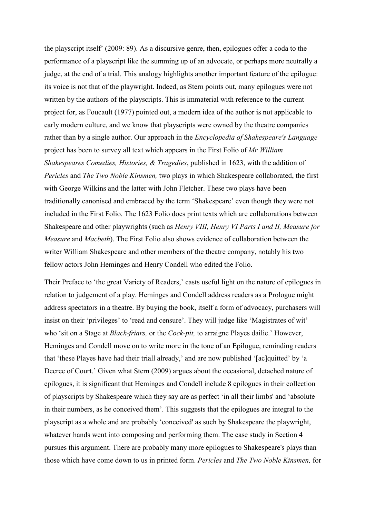the playscript itself' (2009: 89). As a discursive genre, then, epilogues offer a coda to the performance of a playscript like the summing up of an advocate, or perhaps more neutrally a judge, at the end of a trial. This analogy highlights another important feature of the epilogue: its voice is not that of the playwright. Indeed, as Stern points out, many epilogues were not written by the authors of the playscripts. This is immaterial with reference to the current project for, as Foucault (1977) pointed out, a modern idea of the author is not applicable to early modern culture, and we know that playscripts were owned by the theatre companies rather than by a single author. Our approach in the *Encyclopedia of Shakespeare's Language* project has been to survey all text which appears in the First Folio of *Mr William Shakespeares Comedies, Histories, & Tragedies*, published in 1623, with the addition of *Pericles* and *The Two Noble Kinsmen,* two plays in which Shakespeare collaborated, the first with George Wilkins and the latter with John Fletcher. These two plays have been traditionally canonised and embraced by the term 'Shakespeare' even though they were not included in the First Folio. The 1623 Folio does print texts which are collaborations between Shakespeare and other playwrights (such as *Henry VIII, Henry VI Parts I and II, Measure for Measure* and *Macbeth*). The First Folio also shows evidence of collaboration between the writer William Shakespeare and other members of the theatre company, notably his two fellow actors John Heminges and Henry Condell who edited the Folio.

Their Preface to 'the great Variety of Readers,' casts useful light on the nature of epilogues in relation to judgement of a play. Heminges and Condell address readers as a Prologue might address spectators in a theatre. By buying the book, itself a form of advocacy, purchasers will insist on their 'privileges' to 'read and censure'. They will judge like 'Magistrates of wit' who 'sit on a Stage at *Black-friars,* or the *Cock-pit,* to arraigne Playes dailie.' However, Heminges and Condell move on to write more in the tone of an Epilogue, reminding readers that 'these Playes have had their triall already,' and are now published '[ac]quitted' by 'a Decree of Court.' Given what Stern (2009) argues about the occasional, detached nature of epilogues, it is significant that Heminges and Condell include 8 epilogues in their collection of playscripts by Shakespeare which they say are as perfect 'in all their limbs' and 'absolute in their numbers, as he conceived them'. This suggests that the epilogues are integral to the playscript as a whole and are probably 'conceived' as such by Shakespeare the playwright, whatever hands went into composing and performing them. The case study in Section 4 pursues this argument. There are probably many more epilogues to Shakespeare's plays than those which have come down to us in printed form. *Pericles* and *The Two Noble Kinsmen,* for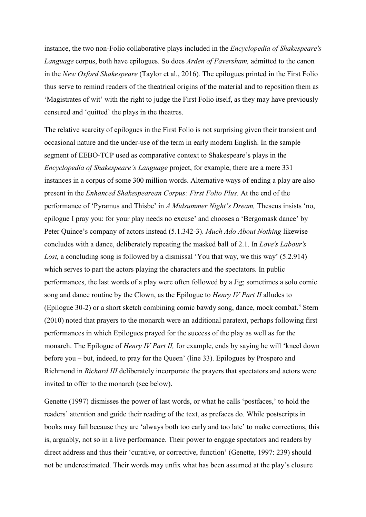instance, the two non-Folio collaborative plays included in the *Encyclopedia of Shakespeare's Language* corpus, both have epilogues. So does *Arden of Faversham,* admitted to the canon in the *New Oxford Shakespeare* (Taylor et al., 2016)*.* The epilogues printed in the First Folio thus serve to remind readers of the theatrical origins of the material and to reposition them as 'Magistrates of wit' with the right to judge the First Folio itself, as they may have previously censured and 'quitted' the plays in the theatres.

The relative scarcity of epilogues in the First Folio is not surprising given their transient and occasional nature and the under-use of the term in early modern English. In the sample segment of EEBO-TCP used as comparative context to Shakespeare's plays in the *Encyclopedia of Shakespeare's Language* project, for example, there are a mere 331 instances in a corpus of some 300 million words. Alternative ways of ending a play are also present in the *Enhanced Shakespearean Corpus: First Folio Plus*. At the end of the performance of 'Pyramus and Thisbe' in *A Midsummer Night's Dream,* Theseus insists 'no, epilogue I pray you: for your play needs no excuse' and chooses a 'Bergomask dance' by Peter Quince's company of actors instead (5.1.342-3). *Much Ado About Nothing* likewise concludes with a dance, deliberately repeating the masked ball of 2.1. In *Love's Labour's*  Lost, a concluding song is followed by a dismissal 'You that way, we this way' (5.2.914) which serves to part the actors playing the characters and the spectators. In public performances, the last words of a play were often followed by a Jig; sometimes a solo comic song and dance routine by the Clown, as the Epilogue to *Henry IV Part II* alludes to (Epilogue 30-2) or a short sketch combining comic bawdy song, dance, mock combat.<sup>3</sup> Stern (2010) noted that prayers to the monarch were an additional paratext, perhaps following first performances in which Epilogues prayed for the success of the play as well as for the monarch. The Epilogue of *Henry IV Part II,* for example, ends by saying he will 'kneel down before you – but, indeed, to pray for the Queen' (line 33). Epilogues by Prospero and Richmond in *Richard III* deliberately incorporate the prayers that spectators and actors were invited to offer to the monarch (see below).

Genette (1997) dismisses the power of last words, or what he calls 'postfaces,' to hold the readers' attention and guide their reading of the text, as prefaces do. While postscripts in books may fail because they are 'always both too early and too late' to make corrections, this is, arguably, not so in a live performance. Their power to engage spectators and readers by direct address and thus their 'curative, or corrective, function' (Genette, 1997: 239) should not be underestimated. Their words may unfix what has been assumed at the play's closure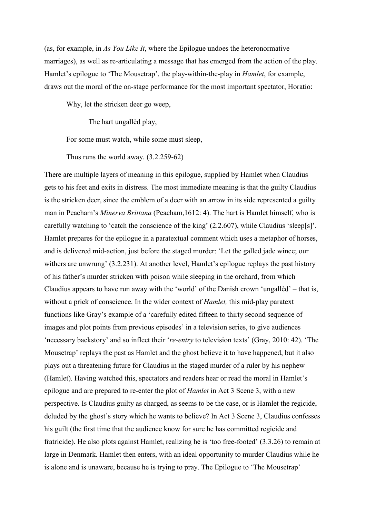(as, for example, in *As You Like It*, where the Epilogue undoes the heteronormative marriages), as well as re-articulating a message that has emerged from the action of the play. Hamlet's epilogue to 'The Mousetrap', the play-within-the-play in *Hamlet*, for example, draws out the moral of the on-stage performance for the most important spectator, Horatio:

Why, let the stricken deer go weep,

The hart ungallèd play,

For some must watch, while some must sleep,

Thus runs the world away. (3.2.259-62)

There are multiple layers of meaning in this epilogue, supplied by Hamlet when Claudius gets to his feet and exits in distress. The most immediate meaning is that the guilty Claudius is the stricken deer, since the emblem of a deer with an arrow in its side represented a guilty man in Peacham's *Minerva Brittana* (Peacham,1612: 4). The hart is Hamlet himself, who is carefully watching to 'catch the conscience of the king' (2.2.607), while Claudius 'sleep[s]'. Hamlet prepares for the epilogue in a paratextual comment which uses a metaphor of horses, and is delivered mid-action, just before the staged murder: 'Let the galled jade wince; our withers are unwrung' (3.2.231). At another level, Hamlet's epilogue replays the past history of his father's murder stricken with poison while sleeping in the orchard, from which Claudius appears to have run away with the 'world' of the Danish crown 'ungallèd' – that is, without a prick of conscience. In the wider context of *Hamlet,* this mid-play paratext functions like Gray's example of a 'carefully edited fifteen to thirty second sequence of images and plot points from previous episodes' in a television series, to give audiences 'necessary backstory' and so inflect their '*re-entry* to television texts' (Gray, 2010: 42). 'The Mousetrap' replays the past as Hamlet and the ghost believe it to have happened, but it also plays out a threatening future for Claudius in the staged murder of a ruler by his nephew (Hamlet). Having watched this, spectators and readers hear or read the moral in Hamlet's epilogue and are prepared to re-enter the plot of *Hamlet* in Act 3 Scene 3, with a new perspective. Is Claudius guilty as charged, as seems to be the case, or is Hamlet the regicide, deluded by the ghost's story which he wants to believe? In Act 3 Scene 3, Claudius confesses his guilt (the first time that the audience know for sure he has committed regicide and fratricide). He also plots against Hamlet, realizing he is 'too free-footed' (3.3.26) to remain at large in Denmark. Hamlet then enters, with an ideal opportunity to murder Claudius while he is alone and is unaware, because he is trying to pray. The Epilogue to 'The Mousetrap'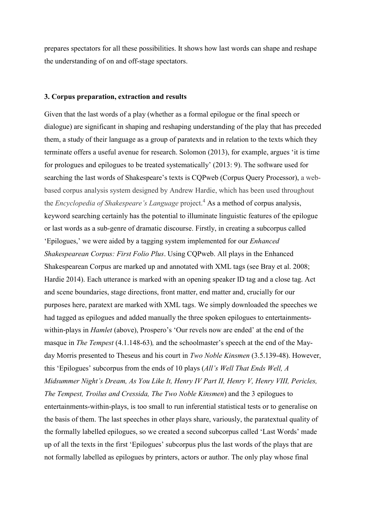prepares spectators for all these possibilities. It shows how last words can shape and reshape the understanding of on and off-stage spectators.

#### **3. Corpus preparation, extraction and results**

Given that the last words of a play (whether as a formal epilogue or the final speech or dialogue) are significant in shaping and reshaping understanding of the play that has preceded them, a study of their language as a group of paratexts and in relation to the texts which they terminate offers a useful avenue for research. Solomon (2013), for example, argues 'it is time for prologues and epilogues to be treated systematically' (2013: 9). The software used for searching the last words of Shakespeare's texts is CQPweb (Corpus Query Processor), a webbased corpus analysis system designed by Andrew Hardie, which has been used throughout the *Encyclopedia of Shakespeare's Language* project.<sup>4</sup> As a method of corpus analysis, keyword searching certainly has the potential to illuminate linguistic features of the epilogue or last words as a sub-genre of dramatic discourse. Firstly, in creating a subcorpus called 'Epilogues,' we were aided by a tagging system implemented for our *Enhanced Shakespearean Corpus: First Folio Plus*. Using CQPweb. All plays in the Enhanced Shakespearean Corpus are marked up and annotated with XML tags (see Bray et al. 2008; Hardie 2014). Each utterance is marked with an opening speaker ID tag and a close tag. Act and scene boundaries, stage directions, front matter, end matter and, crucially for our purposes here, paratext are marked with XML tags. We simply downloaded the speeches we had tagged as epilogues and added manually the three spoken epilogues to entertainmentswithin-plays in *Hamlet* (above), Prospero's 'Our revels now are ended' at the end of the masque in *The Tempest* (4.1.148-63)*,* and the schoolmaster's speech at the end of the Mayday Morris presented to Theseus and his court in *Two Noble Kinsmen* (3.5.139-48). However, this 'Epilogues' subcorpus from the ends of 10 plays (*All's Well That Ends Well, A Midsummer Night's Dream, As You Like It, Henry IV Part II, Henry V, Henry VIII, Pericles, The Tempest, Troilus and Cressida, The Two Noble Kinsmen*) and the 3 epilogues to entertainments-within-plays, is too small to run inferential statistical tests or to generalise on the basis of them. The last speeches in other plays share, variously, the paratextual quality of the formally labelled epilogues, so we created a second subcorpus called 'Last Words' made up of all the texts in the first 'Epilogues' subcorpus plus the last words of the plays that are not formally labelled as epilogues by printers, actors or author. The only play whose final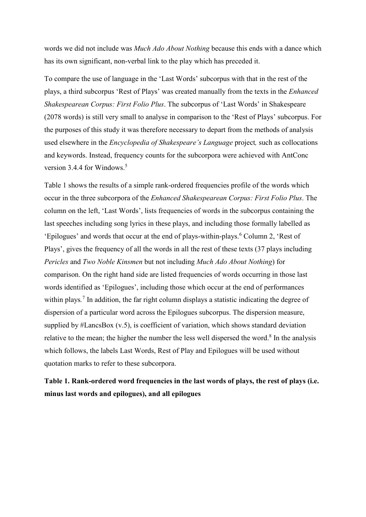words we did not include was *Much Ado About Nothing* because this ends with a dance which has its own significant, non-verbal link to the play which has preceded it.

To compare the use of language in the 'Last Words' subcorpus with that in the rest of the plays, a third subcorpus 'Rest of Plays' was created manually from the texts in the *Enhanced Shakespearean Corpus: First Folio Plus*. The subcorpus of 'Last Words' in Shakespeare (2078 words) is still very small to analyse in comparison to the 'Rest of Plays' subcorpus. For the purposes of this study it was therefore necessary to depart from the methods of analysis used elsewhere in the *Encyclopedia of Shakespeare's Language* project*,* such as collocations and keywords. Instead, frequency counts for the subcorpora were achieved with AntConc version 3.4.4 for Windows. 5

Table 1 shows the results of a simple rank-ordered frequencies profile of the words which occur in the three subcorpora of the *Enhanced Shakespearean Corpus: First Folio Plus*. The column on the left, 'Last Words', lists frequencies of words in the subcorpus containing the last speeches including song lyrics in these plays, and including those formally labelled as 'Epilogues' and words that occur at the end of plays-within-plays.<sup>6</sup> Column 2, 'Rest of Plays', gives the frequency of all the words in all the rest of these texts (37 plays including *Pericles* and *Two Noble Kinsmen* but not including *Much Ado About Nothing*) for comparison. On the right hand side are listed frequencies of words occurring in those last words identified as 'Epilogues', including those which occur at the end of performances within plays*.* <sup>7</sup> In addition, the far right column displays a statistic indicating the degree of dispersion of a particular word across the Epilogues subcorpus. The dispersion measure, supplied by  $\#$ LancsBox (v.5), is coefficient of variation, which shows standard deviation relative to the mean; the higher the number the less well dispersed the word.<sup>8</sup> In the analysis which follows, the labels Last Words, Rest of Play and Epilogues will be used without quotation marks to refer to these subcorpora.

**Table 1. Rank-ordered word frequencies in the last words of plays, the rest of plays (i.e. minus last words and epilogues), and all epilogues**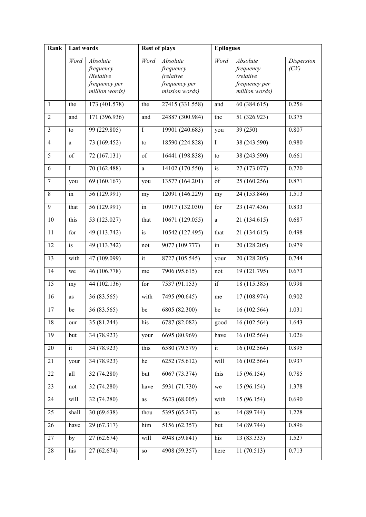| Rank            | <b>Last words</b> |                                                                       |              | <b>Rest of plays</b>                                                         | <b>Epilogues</b> |                                                                              |                    |  |
|-----------------|-------------------|-----------------------------------------------------------------------|--------------|------------------------------------------------------------------------------|------------------|------------------------------------------------------------------------------|--------------------|--|
|                 | Word              | Absolute<br>frequency<br>(Relative<br>frequency per<br>million words) | Word         | Absolute<br>frequency<br><i>(relative</i><br>frequency per<br>mission words) | Word             | Absolute<br>frequency<br><i>(relative</i><br>frequency per<br>million words) | Dispersion<br>(CV) |  |
| $\mathbf{1}$    | the               | 173 (401.578)                                                         | the          | 27415 (331.558)                                                              | and              | 60(384.615)                                                                  | 0.256              |  |
| $\overline{2}$  | and               | 171 (396.936)                                                         | and          | 24887 (300.984)                                                              | the              | 51 (326.923)                                                                 | 0.375              |  |
| $\overline{3}$  | to                | 99 (229.805)                                                          | $\mathbf I$  | 19901 (240.683)                                                              | you              | 39 (250)                                                                     | 0.807              |  |
| $\overline{4}$  | a                 | 73 (169.452)                                                          | to           | 18590 (224.828)                                                              | $\rm I$          | 38 (243.590)                                                                 | 0.980              |  |
| $\overline{5}$  | of                | 72(167.131)                                                           | of           | 16441 (198.838)                                                              | to               | 38 (243.590)                                                                 | 0.661              |  |
| 6               | $\mathbf I$       | 70 (162.488)                                                          | $\mathbf{a}$ | 14102 (170.550)                                                              | is               | 27(173.077)                                                                  | 0.720              |  |
| $\overline{7}$  | you               | 69(160.167)                                                           | you          | 13577(164.201)                                                               | of               | 25(160.256)                                                                  | 0.871              |  |
| $8\,$           | in                | 56 (129.991)                                                          | my           | 12091 (146.229)                                                              | my               | 24 (153.846)                                                                 | 1.513              |  |
| 9               | that              | 56 (129.991)                                                          | in           | 10917 (132.030)                                                              | for              | 23 (147.436)                                                                 | 0.833              |  |
| 10              | this              | 53(123.027)                                                           | that         | 10671(129.055)                                                               | $\mathbf{a}$     | 21(134.615)                                                                  | 0.687              |  |
| 11              | for               | 49 (113.742)                                                          | is           | 10542 (127.495)                                                              | that             | 21(134.615)                                                                  | 0.498              |  |
| 12              | is                | 49 (113.742)                                                          | not          | 9077 (109.777)                                                               | in               | 20 (128.205)                                                                 | 0.979              |  |
| 13              | with              | 47 (109.099)                                                          | it           | 8727 (105.545)                                                               | your             | 20 (128.205)                                                                 | 0.744              |  |
| 14              | we                | 46 (106.778)                                                          | me           | 7906 (95.615)                                                                | not              | 19 (121.795)                                                                 | 0.673              |  |
| $\overline{15}$ | my                | 44 (102.136)                                                          | for          | 7537(91.153)                                                                 | if               | 18(115.385)                                                                  | 0.998              |  |
| 16              | as                | 36 (83.565)                                                           | with         | 7495 $(90.645)$                                                              | me               | 17 (108.974)                                                                 | 0.902              |  |
| 17              | be                | 36 (83.565)                                                           | be           | 6805 (82.300)                                                                | be               | 16 (102.564)                                                                 | 1.031              |  |
| 18              | our               | 35 (81.244)                                                           | his          | 6787 (82.082)                                                                | good             | 16 (102.564)                                                                 | 1.643              |  |
| 19              | but               | 34 (78.923)                                                           | your         | 6695 (80.969)                                                                | have             | 16 (102.564)                                                                 | 1.026              |  |
| 20              | it                | 34(78.923)                                                            | this         | 6580 (79.579)                                                                | it               | 16(102.564)                                                                  | 0.895              |  |
| 21              | your              | 34 (78.923)                                                           | he           | 6252 (75.612)                                                                | will             | 16 (102.564)                                                                 | 0.937              |  |
| 22              | all               | 32 (74.280)                                                           | but          | 6067 (73.374)                                                                | this             | 15 (96.154)                                                                  | 0.785              |  |
| 23              | not               | 32 (74.280)                                                           | have         | 5931 (71.730)                                                                | we               | 15(96.154)                                                                   | 1.378              |  |
| $\overline{24}$ | will              | 32(74.280)                                                            | as           | 5623(68.005)                                                                 | with             | 15(96.154)                                                                   | 0.690              |  |
| 25              | shall             | 30 (69.638)                                                           | thou         | 5395 (65.247)                                                                | $\rm as$         | 14 (89.744)                                                                  | 1.228              |  |
| 26              | have              | 29 (67.317)                                                           | him          | 5156 (62.357)                                                                | but              | 14 (89.744)                                                                  | 0.896              |  |
| 27              | by                | 27 (62.674)                                                           | will         | 4948 (59.841)                                                                | his              | 13 (83.333)                                                                  | 1.527              |  |
| 28              | his               | 27(62.674)                                                            | so           | 4908 (59.357)                                                                | here             | 11(70.513)                                                                   | 0.713              |  |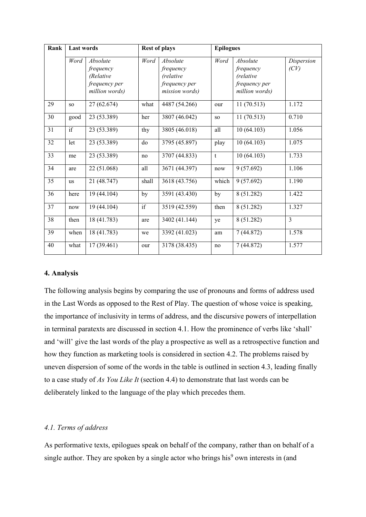| Rank            | <b>Last words</b> |                                                                       |       | <b>Rest of plays</b>                                                         |             | <b>Epilogues</b>                                                              |                    |  |  |
|-----------------|-------------------|-----------------------------------------------------------------------|-------|------------------------------------------------------------------------------|-------------|-------------------------------------------------------------------------------|--------------------|--|--|
|                 | Word              | Absolute<br>frequency<br>(Relative<br>frequency per<br>million words) | Word  | Absolute<br>frequency<br><i>(relative</i><br>frequency per<br>mission words) | Word        | Absolute<br>frequency<br><i>(relative)</i><br>frequency per<br>million words) | Dispersion<br>(CV) |  |  |
| 29              | <b>SO</b>         | 27 (62.674)                                                           | what  | 4487 (54.266)                                                                | our         | 11(70.513)                                                                    | 1.172              |  |  |
| 30              | good              | 23 (53.389)                                                           | her   | 3807 (46.042)                                                                | <b>SO</b>   | 11(70.513)                                                                    | 0.710              |  |  |
| 31              | if                | 23 (53.389)                                                           | thy   | 3805 (46.018)                                                                | all         | 10(64.103)                                                                    | 1.056              |  |  |
| 32              | let               | 23 (53.389)                                                           | do    | 3795 (45.897)                                                                | play        | 10(64.103)                                                                    | 1.075              |  |  |
| $\overline{33}$ | me                | 23 (53.389)                                                           | no    | 3707 (44.833)                                                                | $\mathbf t$ | 10(64.103)                                                                    | 1.733              |  |  |
| 34              | are               | 22 (51.068)                                                           | all   | 3671 (44.397)                                                                | now         | 9(57.692)                                                                     | 1.106              |  |  |
| 35              | <b>us</b>         | 21 (48.747)                                                           | shall | 3618 (43.756)                                                                | which       | 9(57.692)                                                                     | 1.190              |  |  |
| 36              | here              | 19 (44.104)                                                           | by    | 3591 (43.430)                                                                | by          | 8 (51.282)                                                                    | 1.422              |  |  |
| 37              | now               | 19 (44.104)                                                           | if    | 3519 (42.559)                                                                | then        | 8 (51.282)                                                                    | 1.327              |  |  |
| 38              | then              | 18 (41.783)                                                           | are   | 3402 (41.144)                                                                | ye          | 8 (51.282)                                                                    | $\overline{3}$     |  |  |
| 39              | when              | 18 (41.783)                                                           | we    | 3392 (41.023)                                                                | am          | 7(44.872)                                                                     | 1.578              |  |  |
| 40              | what              | 17(39.461)                                                            | our   | 3178 (38.435)                                                                | no          | 7(44.872)                                                                     | 1.577              |  |  |

# **4. Analysis**

The following analysis begins by comparing the use of pronouns and forms of address used in the Last Words as opposed to the Rest of Play. The question of whose voice is speaking, the importance of inclusivity in terms of address, and the discursive powers of interpellation in terminal paratexts are discussed in section 4.1. How the prominence of verbs like 'shall' and 'will' give the last words of the play a prospective as well as a retrospective function and how they function as marketing tools is considered in section 4.2. The problems raised by uneven dispersion of some of the words in the table is outlined in section 4.3, leading finally to a case study of *As You Like It* (section 4.4) to demonstrate that last words can be deliberately linked to the language of the play which precedes them.

# *4.1. Terms of address*

As performative texts, epilogues speak on behalf of the company, rather than on behalf of a single author. They are spoken by a single actor who brings his $9$  own interests in (and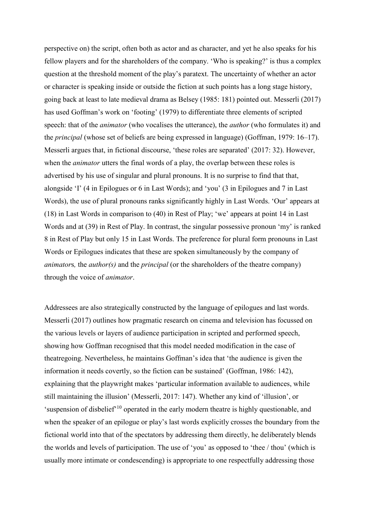perspective on) the script, often both as actor and as character, and yet he also speaks for his fellow players and for the shareholders of the company. 'Who is speaking?' is thus a complex question at the threshold moment of the play's paratext. The uncertainty of whether an actor or character is speaking inside or outside the fiction at such points has a long stage history, going back at least to late medieval drama as Belsey (1985: 181) pointed out. Messerli (2017) has used Goffman's work on 'footing' (1979) to differentiate three elements of scripted speech: that of the *animator* (who vocalises the utterance), the *author* (who formulates it) and the *principal* (whose set of beliefs are being expressed in language) (Goffman, 1979: 16–17). Messerli argues that, in fictional discourse, 'these roles are separated' (2017: 32). However, when the *animator* utters the final words of a play, the overlap between these roles is advertised by his use of singular and plural pronouns. It is no surprise to find that that, alongside 'I' (4 in Epilogues or 6 in Last Words); and 'you' (3 in Epilogues and 7 in Last Words), the use of plural pronouns ranks significantly highly in Last Words. 'Our' appears at (18) in Last Words in comparison to (40) in Rest of Play; 'we' appears at point 14 in Last Words and at (39) in Rest of Play. In contrast, the singular possessive pronoun 'my' is ranked 8 in Rest of Play but only 15 in Last Words. The preference for plural form pronouns in Last Words or Epilogues indicates that these are spoken simultaneously by the company of *animators, the <i>author(s)* and the *principal* (or the shareholders of the theatre company) through the voice of *animator*.

Addressees are also strategically constructed by the language of epilogues and last words. Messerli (2017) outlines how pragmatic research on cinema and television has focussed on the various levels or layers of audience participation in scripted and performed speech, showing how Goffman recognised that this model needed modification in the case of theatregoing. Nevertheless, he maintains Goffman's idea that 'the audience is given the information it needs covertly, so the fiction can be sustained' (Goffman, 1986: 142), explaining that the playwright makes 'particular information available to audiences, while still maintaining the illusion' (Messerli, 2017: 147). Whether any kind of 'illusion', or 'suspension of disbelief<sup>'10</sup> operated in the early modern theatre is highly questionable, and when the speaker of an epilogue or play's last words explicitly crosses the boundary from the fictional world into that of the spectators by addressing them directly, he deliberately blends the worlds and levels of participation. The use of 'you' as opposed to 'thee / thou' (which is usually more intimate or condescending) is appropriate to one respectfully addressing those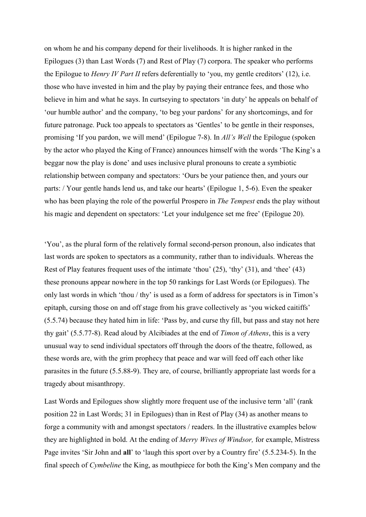on whom he and his company depend for their livelihoods. It is higher ranked in the Epilogues (3) than Last Words (7) and Rest of Play (7) corpora. The speaker who performs the Epilogue to *Henry IV Part II* refers deferentially to 'you, my gentle creditors' (12), i.e. those who have invested in him and the play by paying their entrance fees, and those who believe in him and what he says. In curtseying to spectators 'in duty' he appeals on behalf of 'our humble author' and the company, 'to beg your pardons' for any shortcomings, and for future patronage. Puck too appeals to spectators as 'Gentles' to be gentle in their responses, promising 'If you pardon, we will mend' (Epilogue 7-8). In *All's Well* the Epilogue (spoken by the actor who played the King of France) announces himself with the words 'The King's a beggar now the play is done' and uses inclusive plural pronouns to create a symbiotic relationship between company and spectators: 'Ours be your patience then, and yours our parts: / Your gentle hands lend us, and take our hearts' (Epilogue 1, 5-6). Even the speaker who has been playing the role of the powerful Prospero in *The Tempest* ends the play without his magic and dependent on spectators: 'Let your indulgence set me free' (Epilogue 20).

'You', as the plural form of the relatively formal second-person pronoun, also indicates that last words are spoken to spectators as a community, rather than to individuals. Whereas the Rest of Play features frequent uses of the intimate 'thou' (25), 'thy' (31), and 'thee' (43) these pronouns appear nowhere in the top 50 rankings for Last Words (or Epilogues). The only last words in which 'thou / thy' is used as a form of address for spectators is in Timon's epitaph, cursing those on and off stage from his grave collectively as 'you wicked caitiffs' (5.5.74) because they hated him in life: 'Pass by, and curse thy fill, but pass and stay not here thy gait' (5.5.77-8). Read aloud by Alcibiades at the end of *Timon of Athens*, this is a very unusual way to send individual spectators off through the doors of the theatre, followed, as these words are, with the grim prophecy that peace and war will feed off each other like parasites in the future (5.5.88-9). They are, of course, brilliantly appropriate last words for a tragedy about misanthropy.

Last Words and Epilogues show slightly more frequent use of the inclusive term 'all' (rank position 22 in Last Words; 31 in Epilogues) than in Rest of Play (34) as another means to forge a community with and amongst spectators / readers. In the illustrative examples below they are highlighted in bold. At the ending of *Merry Wives of Windsor,* for example, Mistress Page invites 'Sir John and **all**' to 'laugh this sport over by a Country fire' (5.5.234-5). In the final speech of *Cymbeline* the King, as mouthpiece for both the King's Men company and the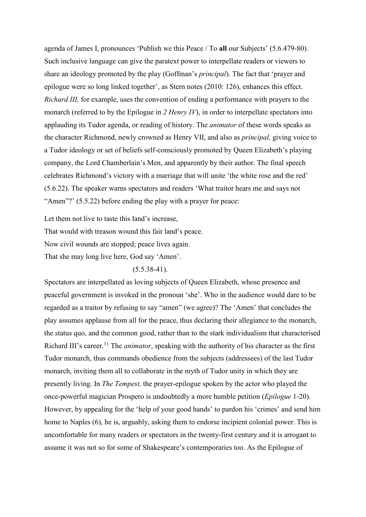agenda of James I, pronounces 'Publish we this Peace / To **all** our Subjects' (5.6.479-80). Such inclusive language can give the paratext power to interpellate readers or viewers to share an ideology promoted by the play (Goffman's *principal*). The fact that 'prayer and epilogue were so long linked together', as Stern notes (2010: 126), enhances this effect. *Richard III,* for example, uses the convention of ending a performance with prayers to the monarch (referred to by the Epilogue in *2 Henry IV*), in order to interpellate spectators into applauding its Tudor agenda, or reading of history. The *animator* of these words speaks as the character Richmond, newly crowned as Henry VII, and also as *principal,* giving voice to a Tudor ideology or set of beliefs self-consciously promoted by Queen Elizabeth's playing company, the Lord Chamberlain's Men, and apparently by their author. The final speech celebrates Richmond's victory with a marriage that will unite 'the white rose and the red' (5.6.22). The speaker warns spectators and readers 'What traitor hears me and says not "Amen"?' (5.5.22) before ending the play with a prayer for peace:

Let them not live to taste this land's increase,

That would with treason wound this fair land's peace.

Now civil wounds are stopped; peace lives again.

That she may long live here, God say 'Amen'.

### $(5.5.38-41).$

Spectators are interpellated as loving subjects of Queen Elizabeth, whose presence and peaceful government is invoked in the pronoun 'she'. Who in the audience would dare to be regarded as a traitor by refusing to say "amen" (we agree)? The 'Amen' that concludes the play assumes applause from all for the peace, thus declaring their allegiance to the monarch, the status quo, and the common good, rather than to the stark individualism that characterised Richard III's career.<sup>11</sup> The *animator*, speaking with the authority of his character as the first Tudor monarch, thus commands obedience from the subjects (addressees) of the last Tudor monarch, inviting them all to collaborate in the myth of Tudor unity in which they are presently living. In *The Tempest,* the prayer-epilogue spoken by the actor who played the once-powerful magician Prospero is undoubtedly a more humble petition (*Epilogue* 1-20). However, by appealing for the 'help of your good hands' to pardon his 'crimes' and send him home to Naples (6), he is, arguably, asking them to endorse incipient colonial power. This is uncomfortable for many readers or spectators in the twenty-first century and it is arrogant to assume it was not so for some of Shakespeare's contemporaries too. As the Epilogue of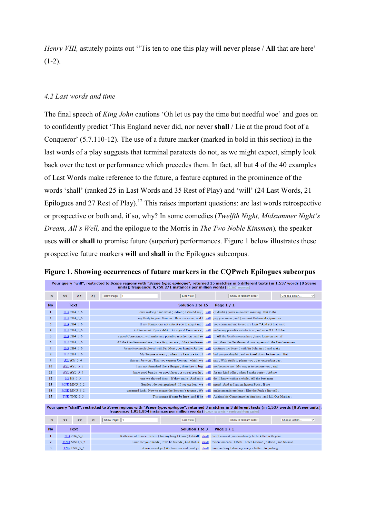*Henry VIII,* astutely points out "Tis ten to one this play will never please / All that are here'  $(1-2)$ .

### *4.2 Last words and time*

The final speech of *King John* cautions 'Oh let us pay the time but needful woe' and goes on to confidently predict 'This England never did, nor never **shall** / Lie at the proud foot of a Conqueror' (5.7.110-12). The use of a future marker (marked in bold in this section) in the last words of a play suggests that terminal paratexts do not, as we might expect, simply look back over the text or performance which precedes them. In fact, all but 4 of the 40 examples of Last Words make reference to the future, a feature captured in the prominence of the words 'shall' (ranked 25 in Last Words and 35 Rest of Play) and 'will' (24 Last Words, 21 Epilogues and 27 Rest of Play).<sup>12</sup> This raises important questions: are last words retrospective or prospective or both and, if so, why? In some comedies (*Twelfth Night, Midsummer Night's Dream, All's Well,* and the epilogue to the Morris in *The Two Noble Kinsmen*)*,* the speaker uses **will** or **shall** to promise future (superior) performances. Figure 1 below illustrates these prospective future markers **will** and **shall** in the Epilogues subcorpus.

|  | Figure 1. Showing occurrences of future markers in the CQPweb Epilogues subcorpus |  |  |
|--|-----------------------------------------------------------------------------------|--|--|
|  |                                                                                   |  |  |

|                | Your query "will", restricted to Scene regions with "Scene type: epilogue", returned 15 matches in 6 different texts (in 1,537 words [8 Scene<br>units]; frequency: 9,759.271 instances per million words) [0.387 seconds]                        |                    |    |                |                  |  |                                                                                                                              |                              |  |  |  |
|----------------|---------------------------------------------------------------------------------------------------------------------------------------------------------------------------------------------------------------------------------------------------|--------------------|----|----------------|------------------|--|------------------------------------------------------------------------------------------------------------------------------|------------------------------|--|--|--|
| $\leq$         | <<                                                                                                                                                                                                                                                | $\rightarrow$      | >1 | Show Page:   1 | Line view        |  | Show in random order                                                                                                         | Choose action<br>$\check{~}$ |  |  |  |
| <b>No</b>      |                                                                                                                                                                                                                                                   | <b>Text</b>        |    |                | Solution 1 to 15 |  | Page 1 / 1                                                                                                                   |                              |  |  |  |
| 1              |                                                                                                                                                                                                                                                   | 2H4 2H4 5 6        |    |                |                  |  | own making : and what (indeed) I should say, will (I doubt) prove mine own marring. But to the                               |                              |  |  |  |
| $\overline{2}$ |                                                                                                                                                                                                                                                   | 2H4 2H4 5 6        |    |                |                  |  | my Body to your Mercies : Bate me some, and I will pay you some, and (as most Debtors do) promise                            |                              |  |  |  |
| 3              |                                                                                                                                                                                                                                                   | 2H4 2H4 5 6        |    |                |                  |  | If my Tongue can not entreat you to acquit me: will you command me to use my Legs ? And yet that were                        |                              |  |  |  |
| 4              |                                                                                                                                                                                                                                                   | 2H4 2H4 5 6        |    |                |                  |  | to Dance out of your debt : But a good Conscience, will make any possible satisfaction, and so will I. All the               |                              |  |  |  |
| 5.             |                                                                                                                                                                                                                                                   | 2H4 2H4 5 6        |    |                |                  |  | a good Conscience, will make any possible satisfaction, and so will I. All the Gentlewomen here, have forgiven me, if        |                              |  |  |  |
| 6              |                                                                                                                                                                                                                                                   | 2H4 2H4 5 6        |    |                |                  |  | All the Gentlewomen here, have forgiven me, if the Gentlemen will not, then the Gentlemen do not agree with the Gentlewomen, |                              |  |  |  |
| 7              |                                                                                                                                                                                                                                                   | 2H4 2H4 56         |    |                |                  |  | be not too much cloyed with Fat Meat, our humble Author will continue the Story (with Sir John in it) and make               |                              |  |  |  |
| 8              |                                                                                                                                                                                                                                                   | 2H4 2H4 5 6        |    |                |                  |  | My Tongue is weary, when my Legs are too, I will bid you goodnight; and so kneel down before you : But                       |                              |  |  |  |
| 9              |                                                                                                                                                                                                                                                   | <b>AWAW 5 4</b>    |    |                |                  |  | this suit be won. That you express Content: which we will pay. With strife to please you, day exceeding day:                 |                              |  |  |  |
| 10             |                                                                                                                                                                                                                                                   | $AYLAYL$ 5 5       |    |                |                  |  | I am not furnished like a Beggar, therefore to beg will not become me. My way is to conjure you, and                         |                              |  |  |  |
| $\mathbf{u}$   |                                                                                                                                                                                                                                                   | AYLAYL 5 5         |    |                |                  |  | have good beards, or good faces, or sweet breaths, will for my kind offer, when I make curtsy, bid me                        |                              |  |  |  |
| 12             |                                                                                                                                                                                                                                                   | H8 H8 5 5          |    |                |                  |  | one we showed them : If they smile . And say t will do : I know within a while . All the best men                            |                              |  |  |  |
| 13             |                                                                                                                                                                                                                                                   | MND MND 5 2        |    |                |                  |  | Gentles, do not reprehend. If you pardon, we will mend. And as I am an honest Puck, If we                                    |                              |  |  |  |
| 14             |                                                                                                                                                                                                                                                   | MND MND 5 2        |    |                |                  |  | unearned luck, Now to escape the Serpent's tongue, We will make amends ere long : Else the Puck a liar call.                 |                              |  |  |  |
| 15             |                                                                                                                                                                                                                                                   | <b>TNK TNK_5_5</b> |    |                |                  |  | T is strange if none be here, and if he will Against his Conscience let him hiss, and kill Our Market:                       |                              |  |  |  |
|                |                                                                                                                                                                                                                                                   |                    |    |                |                  |  |                                                                                                                              |                              |  |  |  |
|                | Your query "shall", restricted to Scene regions with "Scene type: epilogue", returned 3 matches in 3 different texts (in 1,537 words [8 Scene units];<br>frequency: 1,951.854 instances per million words) [0.034 seconds - retrieved from cache] |                    |    |                |                  |  |                                                                                                                              |                              |  |  |  |

|           | <<<br>$\rightarrow$ | >1 | Show Page:                                                                                                            | Line view       | Show in random order                                                                                             | Choose action<br>$\checkmark$ |
|-----------|---------------------|----|-----------------------------------------------------------------------------------------------------------------------|-----------------|------------------------------------------------------------------------------------------------------------------|-------------------------------|
| <b>No</b> | Text                |    |                                                                                                                       | Solution 1 to 3 | Page $1/1$                                                                                                       |                               |
|           | 2H4 2H4 5 6         |    | Katherine of France: where (for anything I know) Falstaff shall die of a sweat, unless already he be killed with your |                 |                                                                                                                  |                               |
|           | MD MND 5 2          |    |                                                                                                                       |                 | Give me your hands, if we be friends, And Robin shall restore amends, FINIS, Enter Antonio, Salerio, and Solanio |                               |
|           | TNK TNK 5 5         |    |                                                                                                                       |                 | it was meant ye) We have our end; and ye shall have ere long I dare say many a better, to prolong                |                               |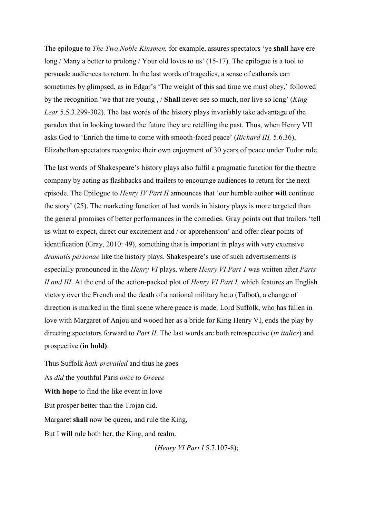The epilogue to *The Two Noble Kinsmen,* for example, assures spectators 'ye **shall** have ere long / Many a better to prolong / Your old loves to us' (15-17). The epilogue is a tool to persuade audiences to return. In the last words of tragedies, a sense of catharsis can sometimes by glimpsed, as in Edgar's 'The weight of this sad time we must obey,' followed by the recognition 'we that are young , / **Shall** never see so much, nor live so long' (*King Lear* 5.5.3.299-302). The last words of the history plays invariably take advantage of the paradox that in looking toward the future they are retelling the past. Thus, when Henry VII asks God to 'Enrich the time to come with smooth-faced peace' (*Richard III,* 5.6.36), Elizabethan spectators recognize their own enjoyment of 30 years of peace under Tudor rule.

The last words of Shakespeare's history plays also fulfil a pragmatic function for the theatre company by acting as flashbacks and trailers to encourage audiences to return for the next episode. The Epilogue to *Henry IV Part II* announces that 'our humble author **will** continue the story' (25). The marketing function of last words in history plays is more targeted than the general promises of better performances in the comedies. Gray points out that trailers 'tell us what to expect, direct our excitement and / or apprehension' and offer clear points of identification (Gray, 2010: 49), something that is important in plays with very extensive *dramatis personae* like the history plays*.* Shakespeare's use of such advertisements is especially pronounced in the *Henry VI* plays, where *Henry VI Part 1* was written after *Parts II and III*. At the end of the action-packed plot of *Henry VI Part I,* which features an English victory over the French and the death of a national military hero (Talbot), a change of direction is marked in the final scene where peace is made. Lord Suffolk, who has fallen in love with Margaret of Anjou and wooed her as a bride for King Henry VI, ends the play by directing spectators forward to *Part II*. The last words are both retrospective (*in italics*) and prospective (**in bold)**:

Thus Suffolk *hath prevailed* and thus he goes As *did* the youthful Paris *once to Greece* **With hope** to find the like event in love But prosper better than the Trojan did. Margaret **shall** now be queen, and rule the King, But I **will** rule both her, the King, and realm.

(*Henry VI Part I* 5.7.107-8);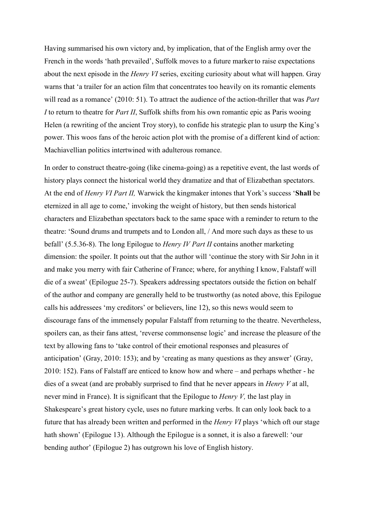Having summarised his own victory and, by implication, that of the English army over the French in the words 'hath prevailed', Suffolk moves to a future markerto raise expectations about the next episode in the *Henry VI* series, exciting curiosity about what will happen. Gray warns that 'a trailer for an action film that concentrates too heavily on its romantic elements will read as a romance' (2010: 51). To attract the audience of the action-thriller that was *Part I* to return to theatre for *Part II*, Suffolk shifts from his own romantic epic as Paris wooing Helen (a rewriting of the ancient Troy story), to confide his strategic plan to usurp the King's power. This woos fans of the heroic action plot with the promise of a different kind of action: Machiavellian politics intertwined with adulterous romance.

In order to construct theatre-going (like cinema-going) as a repetitive event, the last words of history plays connect the historical world they dramatize and that of Elizabethan spectators. At the end of *Henry VI Part II,* Warwick the kingmaker intones that York's success '**Shall** be eternized in all age to come,' invoking the weight of history, but then sends historical characters and Elizabethan spectators back to the same space with a reminder to return to the theatre: 'Sound drums and trumpets and to London all, / And more such days as these to us befall' (5.5.36-8). The long Epilogue to *Henry IV Part II* contains another marketing dimension: the spoiler. It points out that the author will 'continue the story with Sir John in it and make you merry with fair Catherine of France; where, for anything I know, Falstaff will die of a sweat' (Epilogue 25-7). Speakers addressing spectators outside the fiction on behalf of the author and company are generally held to be trustworthy (as noted above, this Epilogue calls his addressees 'my creditors' or believers, line 12), so this news would seem to discourage fans of the immensely popular Falstaff from returning to the theatre. Nevertheless, spoilers can, as their fans attest, 'reverse commonsense logic' and increase the pleasure of the text by allowing fans to 'take control of their emotional responses and pleasures of anticipation' (Gray, 2010: 153); and by 'creating as many questions as they answer' (Gray, 2010: 152). Fans of Falstaff are enticed to know how and where – and perhaps whether - he dies of a sweat (and are probably surprised to find that he never appears in *Henry V* at all, never mind in France). It is significant that the Epilogue to *Henry V,* the last play in Shakespeare's great history cycle, uses no future marking verbs. It can only look back to a future that has already been written and performed in the *Henry VI* plays 'which oft our stage hath shown' (Epilogue 13). Although the Epilogue is a sonnet, it is also a farewell: 'our bending author' (Epilogue 2) has outgrown his love of English history.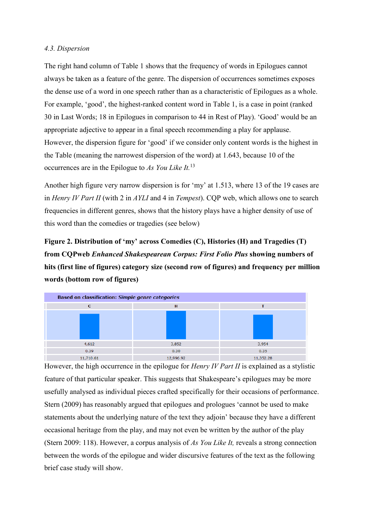## *4.3. Dispersion*

The right hand column of Table 1 shows that the frequency of words in Epilogues cannot always be taken as a feature of the genre. The dispersion of occurrences sometimes exposes the dense use of a word in one speech rather than as a characteristic of Epilogues as a whole. For example, 'good', the highest-ranked content word in Table 1, is a case in point (ranked 30 in Last Words; 18 in Epilogues in comparison to 44 in Rest of Play). 'Good' would be an appropriate adjective to appear in a final speech recommending a play for applause. However, the dispersion figure for 'good' if we consider only content words is the highest in the Table (meaning the narrowest dispersion of the word) at 1.643, because 10 of the occurrences are in the Epilogue to *As You Like It.* 13

Another high figure very narrow dispersion is for 'my' at 1.513, where 13 of the 19 cases are in *Henry IV Part II* (with 2 in *AYLI* and 4 in *Tempest*). CQP web, which allows one to search frequencies in different genres, shows that the history plays have a higher density of use of this word than the comedies or tragedies (see below)

**Figure 2. Distribution of 'my' across Comedies (C), Histories (H) and Tragedies (T) from CQPweb** *Enhanced Shakespearean Corpus: First Folio Plus* **showing numbers of hits (first line of figures) category size (second row of figures) and frequency per million words (bottom row of figures)**



However, the high occurrence in the epilogue for *Henry IV Part II* is explained as a stylistic feature of that particular speaker. This suggests that Shakespeare's epilogues may be more usefully analysed as individual pieces crafted specifically for their occasions of performance. Stern (2009) has reasonably argued that epilogues and prologues 'cannot be used to make statements about the underlying nature of the text they adjoin' because they have a different occasional heritage from the play, and may not even be written by the author of the play (Stern 2009: 118). However, a corpus analysis of *As You Like It,* reveals a strong connection between the words of the epilogue and wider discursive features of the text as the following brief case study will show.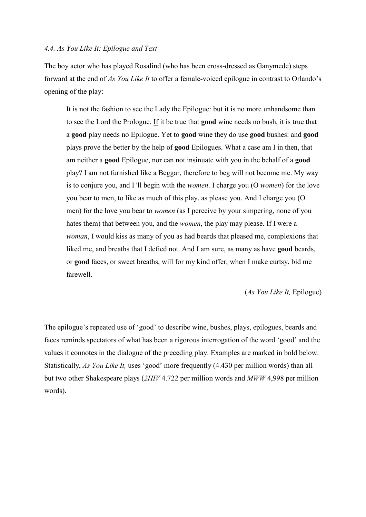### *4.4. As You Like It: Epilogue and Text*

The boy actor who has played Rosalind (who has been cross-dressed as Ganymede) steps forward at the end of *As You Like It* to offer a female-voiced epilogue in contrast to Orlando's opening of the play:

It is not the fashion to see the Lady the Epilogue: but it is no more unhandsome than to see the Lord the Prologue. If it be true that **good** wine needs no bush, it is true that a **good** play needs no Epilogue. Yet to **good** wine they do use **good** bushes: and **good** plays prove the better by the help of **good** Epilogues. What a case am I in then, that am neither a **good** Epilogue, nor can not insinuate with you in the behalf of a **good** play? I am not furnished like a Beggar, therefore to beg will not become me. My way is to conjure you, and I 'll begin with the *women*. I charge you (O *women*) for the love you bear to men, to like as much of this play, as please you. And I charge you (O men) for the love you bear to *women* (as I perceive by your simpering, none of you hates them) that between you, and the *women*, the play may please. If I were a *woman*, I would kiss as many of you as had beards that pleased me, complexions that liked me, and breaths that I defied not. And I am sure, as many as have **good** beards, or **good** faces, or sweet breaths, will for my kind offer, when I make curtsy, bid me farewell.

(*As You Like It,* Epilogue)

The epilogue's repeated use of 'good' to describe wine, bushes, plays, epilogues, beards and faces reminds spectators of what has been a rigorous interrogation of the word 'good' and the values it connotes in the dialogue of the preceding play. Examples are marked in bold below. Statistically, *As You Like It,* uses 'good' more frequently (4.430 per million words) than all but two other Shakespeare plays (*2HIV* 4.722 per million words and *MWW* 4,998 per million words).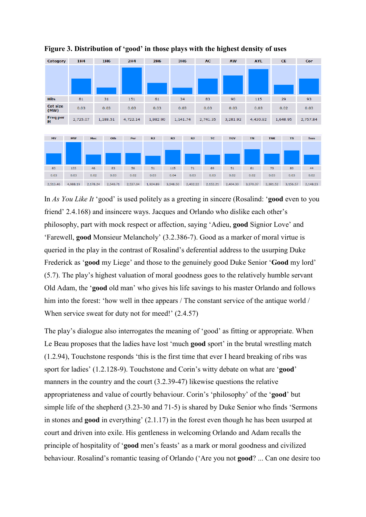

# **Figure 3. Distribution of 'good' in those plays with the highest density of uses**

In *As You Like It* 'good' is used politely as a greeting in sincere (Rosalind: '**good** even to you friend' 2.4.168) and insincere ways. Jacques and Orlando who dislike each other's philosophy, part with mock respect or affection, saying 'Adieu, **good** Signior Love' and 'Farewell, **good** Monsieur Melancholy' (3.2.386-7). Good as a marker of moral virtue is queried in the play in the contrast of Rosalind's deferential address to the usurping Duke Frederick as '**good** my Liege' and those to the genuinely good Duke Senior '**Good** my lord' (5.7). The play's highest valuation of moral goodness goes to the relatively humble servant Old Adam, the '**good** old man' who gives his life savings to his master Orlando and follows him into the forest: 'how well in thee appears / The constant service of the antique world / When service sweat for duty not for meed!'  $(2.4.57)$ 

The play's dialogue also interrogates the meaning of 'good' as fitting or appropriate. When Le Beau proposes that the ladies have lost 'much **good** sport' in the brutal wrestling match (1.2.94), Touchstone responds 'this is the first time that ever I heard breaking of ribs was sport for ladies' (1.2.128-9). Touchstone and Corin's witty debate on what are '**good**' manners in the country and the court (3.2.39-47) likewise questions the relative appropriateness and value of courtly behaviour. Corin's 'philosophy' of the '**good**' but simple life of the shepherd (3.23-30 and 71-5) is shared by Duke Senior who finds 'Sermons in stones and **good** in everything' (2.1.17) in the forest even though he has been usurped at court and driven into exile. His gentleness in welcoming Orlando and Adam recalls the principle of hospitality of '**good** men's feasts' as a mark or moral goodness and civilized behaviour. Rosalind's romantic teasing of Orlando ('Are you not **good**? ... Can one desire too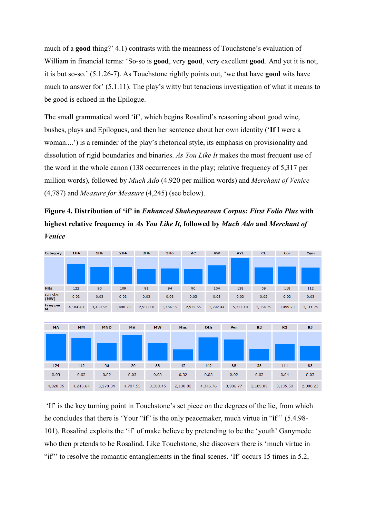much of a **good** thing?' 4.1) contrasts with the meanness of Touchstone's evaluation of William in financial terms: 'So-so is **good**, very **good**, very excellent **good**. And yet it is not, it is but so-so.' (5.1.26-7). As Touchstone rightly points out, 'we that have **good** wits have much to answer for' (5.1.11). The play's witty but tenacious investigation of what it means to be good is echoed in the Epilogue.

The small grammatical word '**if**', which begins Rosalind's reasoning about good wine, bushes, plays and Epilogues, and then her sentence about her own identity ('**If** I were a woman....') is a reminder of the play's rhetorical style, its emphasis on provisionality and dissolution of rigid boundaries and binaries. *As You Like It* makes the most frequent use of the word in the whole canon (138 occurrences in the play; relative frequency of 5,317 per million words), followed by *Much Ado* (4.920 per million words) and *Merchant of Venice* (4,787) and *Measure for Measure* (4,245) (see below).

**Figure 4. Distribution of 'if' in** *Enhanced Shakespearean Corpus: First Folio Plus* **with highest relative frequency in** *As You Like It,* **followed by** *Much Ado* **and** *Merchant of Venice*



'If' is the key turning point in Touchstone's set piece on the degrees of the lie, from which he concludes that there is 'Your "**if**" is the only peacemaker, much virtue in "**if**"' (5.4.98- 101). Rosalind exploits the 'if' of make believe by pretending to be the 'youth' Ganymede who then pretends to be Rosalind. Like Touchstone, she discovers there is 'much virtue in "if"' to resolve the romantic entanglements in the final scenes. 'If' occurs 15 times in 5.2,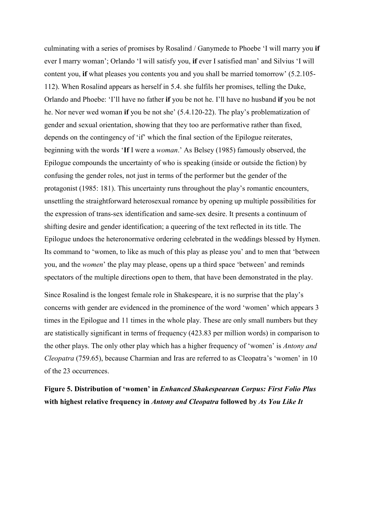culminating with a series of promises by Rosalind / Ganymede to Phoebe 'I will marry you **if** ever I marry woman'; Orlando 'I will satisfy you, **if** ever I satisfied man' and Silvius 'I will content you, **if** what pleases you contents you and you shall be married tomorrow' (5.2.105- 112). When Rosalind appears as herself in 5.4. she fulfils her promises, telling the Duke, Orlando and Phoebe: 'I'll have no father **if** you be not he. I'll have no husband **if** you be not he. Nor never wed woman **if** you be not she' (5.4.120-22). The play's problematization of gender and sexual orientation, showing that they too are performative rather than fixed, depends on the contingency of 'if' which the final section of the Epilogue reiterates, beginning with the words '**If** I were a *woman*.' As Belsey (1985) famously observed, the Epilogue compounds the uncertainty of who is speaking (inside or outside the fiction) by confusing the gender roles, not just in terms of the performer but the gender of the protagonist (1985: 181). This uncertainty runs throughout the play's romantic encounters, unsettling the straightforward heterosexual romance by opening up multiple possibilities for the expression of trans-sex identification and same-sex desire. It presents a continuum of shifting desire and gender identification; a queering of the text reflected in its title. The Epilogue undoes the heteronormative ordering celebrated in the weddings blessed by Hymen. Its command to 'women, to like as much of this play as please you' and to men that 'between you, and the *women*' the play may please, opens up a third space 'between' and reminds spectators of the multiple directions open to them, that have been demonstrated in the play.

Since Rosalind is the longest female role in Shakespeare, it is no surprise that the play's concerns with gender are evidenced in the prominence of the word 'women' which appears 3 times in the Epilogue and 11 times in the whole play. These are only small numbers but they are statistically significant in terms of frequency (423.83 per million words) in comparison to the other plays. The only other play which has a higher frequency of 'women' is *Antony and Cleopatra* (759.65), because Charmian and Iras are referred to as Cleopatra's 'women' in 10 of the 23 occurrences.

**Figure 5. Distribution of 'women' in** *Enhanced Shakespearean Corpus: First Folio Plus* **with highest relative frequency in** *Antony and Cleopatra* **followed by** *As You Like It*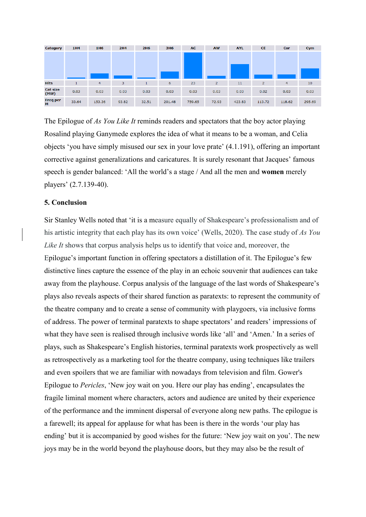| <b>Category</b>      | 1H4   | 1H <sub>6</sub> | 2H4   | 2H6   | <b>3H6</b> | <b>AC</b> | AW             | <b>AYL</b> | <b>CE</b>      | Cor    | Cym    |
|----------------------|-------|-----------------|-------|-------|------------|-----------|----------------|------------|----------------|--------|--------|
|                      |       |                 |       |       |            |           |                |            |                |        |        |
| <b>Hits</b>          |       | 4               | 3     |       | 6          | 23        | $\overline{2}$ | 11         | $\overline{2}$ | 4      | 10     |
| Cat size<br>(MW)     | 0.03  | 0.03            | 0.03  | 0.03  | 0.03       | 0.03      | 0.03           | 0.03       | 0.02           | 0.03   | 0.03   |
| <b>Freq per</b><br>M | 33.64 | 153.36          | 93.82 | 32.51 | 201.48     | 759.65    | 72.93          | 423.83     | 113.72         | 118.62 | 295.69 |

The Epilogue of *As You Like It* reminds readers and spectators that the boy actor playing Rosalind playing Ganymede explores the idea of what it means to be a woman, and Celia objects 'you have simply misused our sex in your love prate' (4.1.191), offering an important corrective against generalizations and caricatures. It is surely resonant that Jacques' famous speech is gender balanced: 'All the world's a stage / And all the men and **women** merely players' (2.7.139-40).

#### **5. Conclusion**

Sir Stanley Wells noted that 'it is a measure equally of Shakespeare's professionalism and of his artistic integrity that each play has its own voice' (Wells, 2020). The case study of *As You Like It* shows that corpus analysis helps us to identify that voice and, moreover, the Epilogue's important function in offering spectators a distillation of it. The Epilogue's few distinctive lines capture the essence of the play in an echoic souvenir that audiences can take away from the playhouse. Corpus analysis of the language of the last words of Shakespeare's plays also reveals aspects of their shared function as paratexts: to represent the community of the theatre company and to create a sense of community with playgoers, via inclusive forms of address. The power of terminal paratexts to shape spectators' and readers' impressions of what they have seen is realised through inclusive words like 'all' and 'Amen.' In a series of plays, such as Shakespeare's English histories, terminal paratexts work prospectively as well as retrospectively as a marketing tool for the theatre company, using techniques like trailers and even spoilers that we are familiar with nowadays from television and film. Gower's Epilogue to *Pericles*, 'New joy wait on you. Here our play has ending', encapsulates the fragile liminal moment where characters, actors and audience are united by their experience of the performance and the imminent dispersal of everyone along new paths. The epilogue is a farewell; its appeal for applause for what has been is there in the words 'our play has ending' but it is accompanied by good wishes for the future: 'New joy wait on you'. The new joys may be in the world beyond the playhouse doors, but they may also be the result of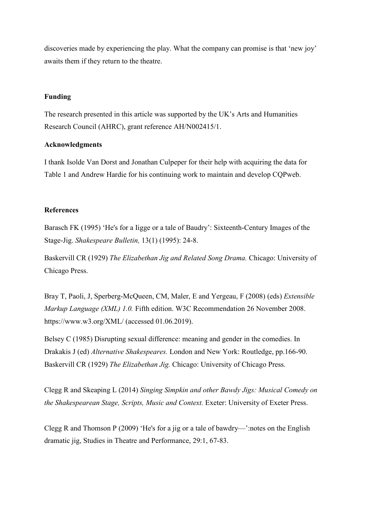discoveries made by experiencing the play. What the company can promise is that 'new joy' awaits them if they return to the theatre.

## **Funding**

The research presented in this article was supported by the UK's Arts and Humanities Research Council (AHRC), grant reference AH/N002415/1.

## **Acknowledgments**

I thank Isolde Van Dorst and Jonathan Culpeper for their help with acquiring the data for Table 1 and Andrew Hardie for his continuing work to maintain and develop CQPweb.

# **References**

Barasch FK (1995) 'He's for a Iigge or a tale of Baudry': Sixteenth-Century Images of the Stage-Jig. *Shakespeare Bulletin,* 13(1) (1995): 24-8.

Baskervill CR (1929) *The Elizabethan Jig and Related Song Drama.* Chicago: University of Chicago Press.

Bray T, Paoli, J, Sperberg-McQueen, CM, Maler, E and Yergeau, F (2008) (eds) *Extensible Markup Language (XML) 1.0.* Fifth edition. W3C Recommendation 26 November 2008. https://www.w3.org/XML/ (accessed 01.06.2019).

Belsey C (1985) Disrupting sexual difference: meaning and gender in the comedies. In Drakakis J (ed) *Alternative Shakespeares.* London and New York: Routledge, pp.166-90. Baskervill CR (1929) *The Elizabethan Jig.* Chicago: University of Chicago Press.

Clegg R and Skeaping L (2014) *Singing Simpkin and other Bawdy Jigs: Musical Comedy on the Shakespearean Stage, Scripts, Music and Context.* Exeter: University of Exeter Press.

Clegg R and Thomson P (2009) 'He's for a jig or a tale of bawdry—':notes on the English dramatic jig, Studies in Theatre and Performance, 29:1, 67-83.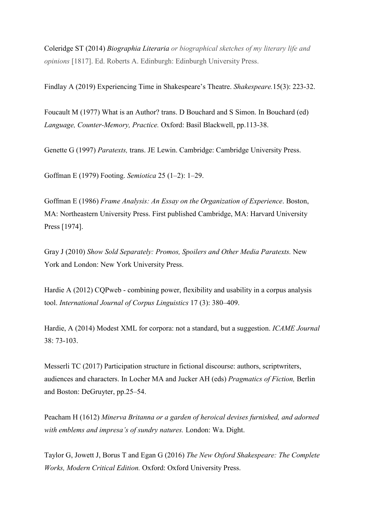Coleridge ST (2014) *Biographia Literaria or biographical sketches of my literary life and opinions* [1817]. Ed. Roberts A. Edinburgh: Edinburgh University Press.

Findlay A (2019) Experiencing Time in Shakespeare's Theatre. *Shakespeare.*15(3): 223-32.

Foucault M (1977) What is an Author? trans. D Bouchard and S Simon. In Bouchard (ed) *Language, Counter-Memory, Practice.* Oxford: Basil Blackwell, pp.113-38.

Genette G (1997) *Paratexts,* trans. JE Lewin. Cambridge: Cambridge University Press.

Goffman E (1979) Footing. *Semiotica* 25 (1–2): 1–29.

Goffman E (1986) *Frame Analysis: An Essay on the Organization of Experience*. Boston, MA: Northeastern University Press. First published Cambridge, MA: Harvard University Press [1974].

Gray J (2010) *Show Sold Separately: Promos, Spoilers and Other Media Paratexts.* New York and London: New York University Press.

Hardie A (2012) CQPweb - combining power, flexibility and usability in a corpus analysis tool. *International Journal of Corpus Linguistics* 17 (3): 380–409.

Hardie, A (2014) Modest XML for corpora: not a standard, but a suggestion. *ICAME Journal* 38: 73-103.

Messerli TC (2017) Participation structure in fictional discourse: authors, scriptwriters, audiences and characters. In Locher MA and Jucker AH (eds) *Pragmatics of Fiction,* Berlin and Boston: DeGruyter, pp.25–54.

Peacham H (1612) *Minerva Britanna or a garden of heroical devises furnished, and adorned with emblems and impresa's of sundry natures.* London: Wa. Dight.

Taylor G, Jowett J, Borus T and Egan G (2016) *The New Oxford Shakespeare: The Complete Works, Modern Critical Edition.* Oxford: Oxford University Press.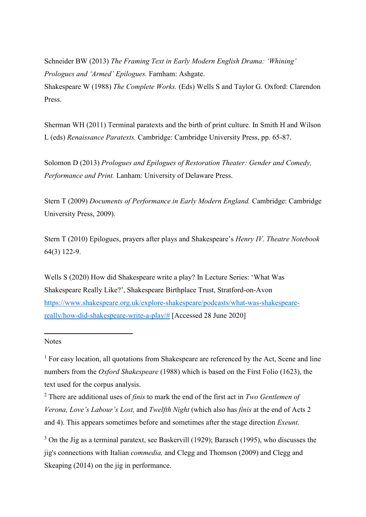Schneider BW (2013) *The Framing Text in Early Modern English Drama: 'Whining' Prologues and 'Armed' Epilogues.* Farnham: Ashgate. Shakespeare W (1988) *The Complete Works.* (Eds) Wells S and Taylor G. Oxford: Clarendon Press.

Sherman WH (2011) Terminal paratexts and the birth of print culture. In Smith H and Wilson L (eds) *Renaissance Paratexts.* Cambridge: Cambridge University Press, pp. 65-87.

Solomon D (2013) *Prologues and Epilogues of Restoration Theater: Gender and Comedy, Performance and Print.* Lanham: University of Delaware Press.

Stern T (2009) *Documents of Performance in Early Modern England.* Cambridge: Cambridge University Press, 2009).

Stern T (2010) Epilogues, prayers after plays and Shakespeare's *Henry IV*. *Theatre Notebook*  64(3) 122-9.

Wells S (2020) How did Shakespeare write a play? In Lecture Series: 'What Was Shakespeare Really Like?', Shakespeare Birthplace Trust, Stratford-on-Avon [https://www.shakespeare.org.uk/explore-shakespeare/podcasts/what-was-shakespeare](about:blank)[really/how-did-shakespeare-write-a-play/#](about:blank) [Accessed 28 June 2020]

### **Notes**

<u>.</u>

 $<sup>1</sup>$  For easy location, all quotations from Shakespeare are referenced by the Act, Scene and line</sup> numbers from the *Oxford Shakespeare* (1988) which is based on the First Folio (1623), the text used for the corpus analysis.

<sup>2</sup> There are additional uses of *finis* to mark the end of the first act in *Two Gentlemen of Verona, Love's Labour's Lost,* and *Twelfth Night* (which also has *finis* at the end of Acts 2 and 4). This appears sometimes before and sometimes after the stage direction *Exeunt.*

<sup>3</sup> On the Jig as a terminal paratext, see Baskervill (1929); Barasch (1995), who discusses the jig's connections with Italian *commedia,* and Clegg and Thomson (2009) and Clegg and Skeaping (2014) on the jig in performance.